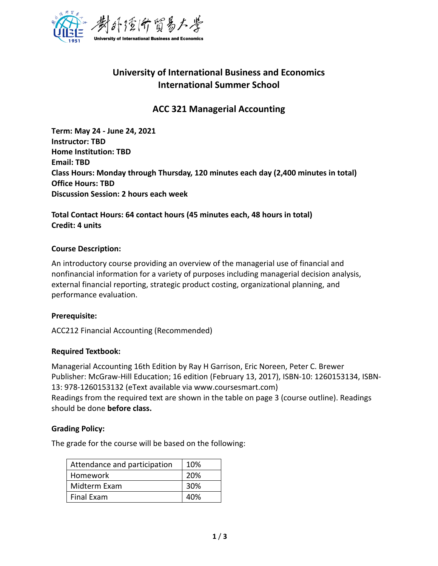

# **University of International Business and Economics International Summer School**

## **ACC 321 Managerial Accounting**

**Term: May 24 - June 24, 2021 Instructor: TBD Home Institution: TBD Email: TBD Class Hours: Monday through Thursday, 120 minutes each day (2,400 minutes in total) Office Hours: TBD Discussion Session: 2 hours each week** 

**Total Contact Hours: 64 contact hours (45 minutes each, 48 hours in total) Credit: 4 units**

#### **Course Description:**

An introductory course providing an overview of the managerial use of financial and nonfinancial information for a variety of purposes including managerial decision analysis, external financial reporting, strategic product costing, organizational planning, and performance evaluation.

## **Prerequisite:**

ACC212 Financial Accounting (Recommended)

## **Required Textbook:**

Managerial Accounting 16th Edition by Ray H Garrison, Eric Noreen, Peter C. Brewer Publisher: McGraw-Hill Education; 16 edition (February 13, 2017), ISBN-10: 1260153134, ISBN-13: 978-1260153132 (eText available via www.coursesmart.com) Readings from the required text are shown in the table on page 3 (course outline). Readings should be done **before class.**

## **Grading Policy:**

The grade for the course will be based on the following:

| Attendance and participation | 10% |
|------------------------------|-----|
| Homework                     | 20% |
| Midterm Exam                 | 30% |
| <b>Final Exam</b>            | 40% |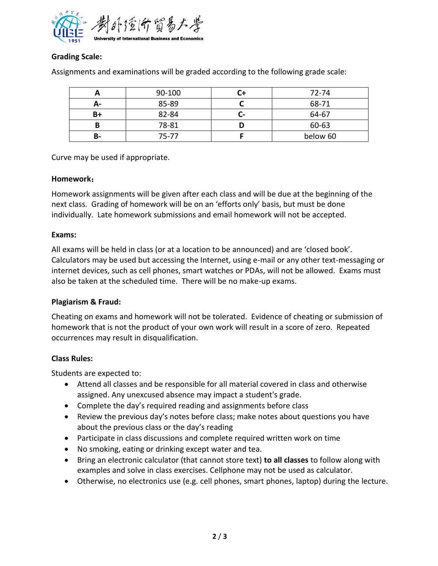

## **Grading Scale:**

|    | 90-100 |    | 72-74    |
|----|--------|----|----------|
| А- | 85-89  |    | 68-71    |
| B+ | 82-84  | U- | 64-67    |
|    | 78-81  |    | 60-63    |
| В- | 75-77  |    | below 60 |

Assignments and examinations will be graded according to the following grade scale:

Curve may be used if appropriate.

#### **Homework**:

Homework assignments will be given after each class and will be due at the beginning of the next class. Grading of homework will be on an 'efforts only' basis, but must be done individually. Late homework submissions and email homework will not be accepted.

#### **Exams:**

All exams will be held in class (or at a location to be announced) and are 'closed book'. Calculators may be used but accessing the Internet, using e-mail or any other text-messaging or internet devices, such as cell phones, smart watches or PDAs, will not be allowed. Exams must also be taken at the scheduled time. There will be no make-up exams.

## **Plagiarism & Fraud:**

Cheating on exams and homework will not be tolerated. Evidence of cheating or submission of homework that is not the product of your own work will result in a score of zero. Repeated occurrences may result in disqualification.

## **Class Rules:**

Students are expected to:

- Attend all classes and be responsible for all material covered in class and otherwise assigned. Any unexcused absence may impact a student's grade.
- Complete the day's required reading and assignments before class
- Review the previous day's notes before class; make notes about questions you have about the previous class or the day's reading
- Participate in class discussions and complete required written work on time
- No smoking, eating or drinking except water and tea.
- Bring an electronic calculator (that cannot store text) **to all classes** to follow along with examples and solve in class exercises. Cellphone may not be used as calculator.
- Otherwise, no electronics use (e.g. cell phones, smart phones, laptop) during the lecture.